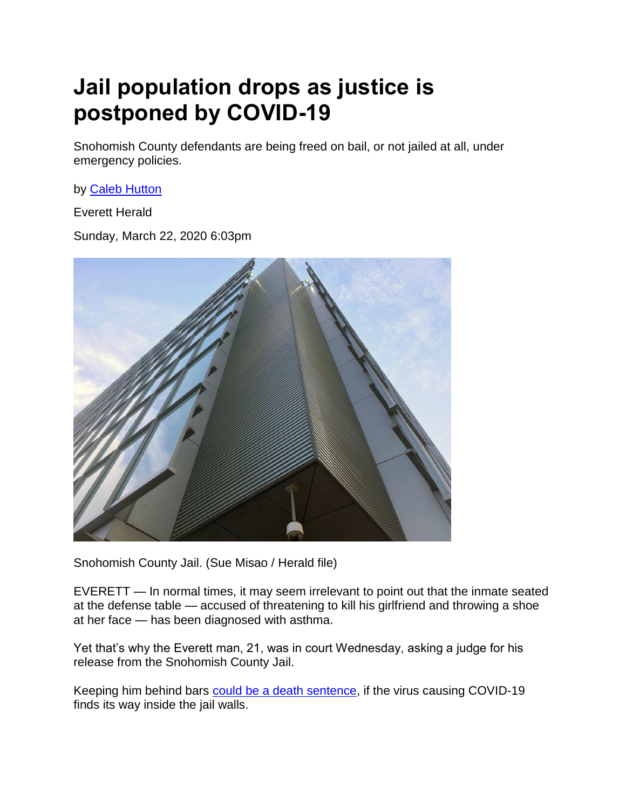## **Jail population drops as justice is postponed by COVID-19**

Snohomish County defendants are being freed on bail, or not jailed at all, under emergency policies.

by [Caleb Hutton](https://www.heraldnet.com/author/caleb-hutton/)

Everett Herald

Sunday, March 22, 2020 6:03pm



Snohomish County Jail. (Sue Misao / Herald file)

EVERETT — In normal times, it may seem irrelevant to point out that the inmate seated at the defense table — accused of threatening to kill his girlfriend and throwing a shoe at her face — has been diagnosed with asthma.

Yet that's why the Everett man, 21, was in court Wednesday, asking a judge for his release from the Snohomish County Jail.

Keeping him behind bars [could be a death sentence,](https://www.cdc.gov/coronavirus/2019-ncov/specific-groups/asthma.html) if the virus causing COVID-19 finds its way inside the jail walls.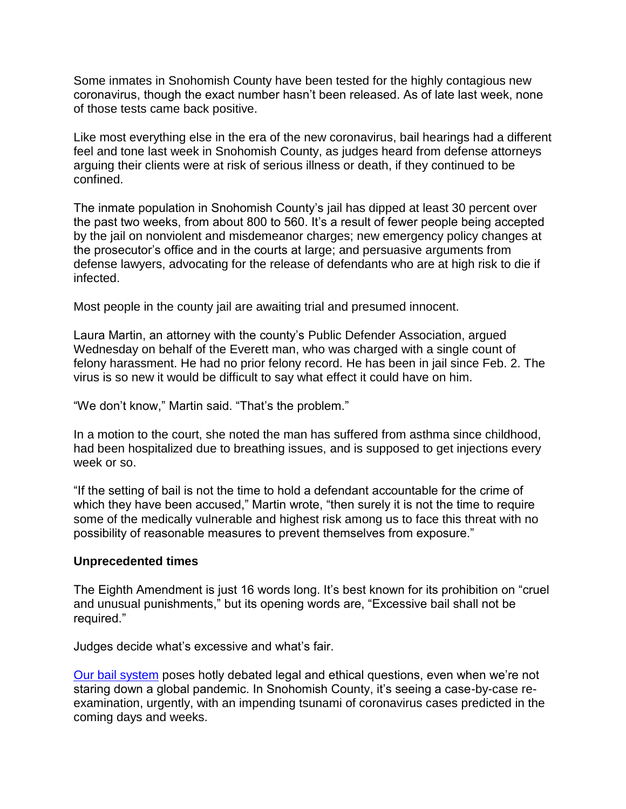Some inmates in Snohomish County have been tested for the highly contagious new coronavirus, though the exact number hasn't been released. As of late last week, none of those tests came back positive.

Like most everything else in the era of the new coronavirus, bail hearings had a different feel and tone last week in Snohomish County, as judges heard from defense attorneys arguing their clients were at risk of serious illness or death, if they continued to be confined.

The inmate population in Snohomish County's jail has dipped at least 30 percent over the past two weeks, from about 800 to 560. It's a result of fewer people being accepted by the jail on nonviolent and misdemeanor charges; new emergency policy changes at the prosecutor's office and in the courts at large; and persuasive arguments from defense lawyers, advocating for the release of defendants who are at high risk to die if infected.

Most people in the county jail are awaiting trial and presumed innocent.

Laura Martin, an attorney with the county's Public Defender Association, argued Wednesday on behalf of the Everett man, who was charged with a single count of felony harassment. He had no prior felony record. He has been in jail since Feb. 2. The virus is so new it would be difficult to say what effect it could have on him.

"We don't know," Martin said. "That's the problem."

In a motion to the court, she noted the man has suffered from asthma since childhood, had been hospitalized due to breathing issues, and is supposed to get injections every week or so.

"If the setting of bail is not the time to hold a defendant accountable for the crime of which they have been accused," Martin wrote, "then surely it is not the time to require some of the medically vulnerable and highest risk among us to face this threat with no possibility of reasonable measures to prevent themselves from exposure."

## **Unprecedented times**

The Eighth Amendment is just 16 words long. It's best known for its prohibition on "cruel and unusual punishments," but its opening words are, "Excessive bail shall not be required."

Judges decide what's excessive and what's fair.

[Our bail system](https://www.theatlantic.com/business/archive/2016/05/money-bail/484034/) poses hotly debated legal and ethical questions, even when we're not staring down a global pandemic. In Snohomish County, it's seeing a case-by-case reexamination, urgently, with an impending tsunami of coronavirus cases predicted in the coming days and weeks.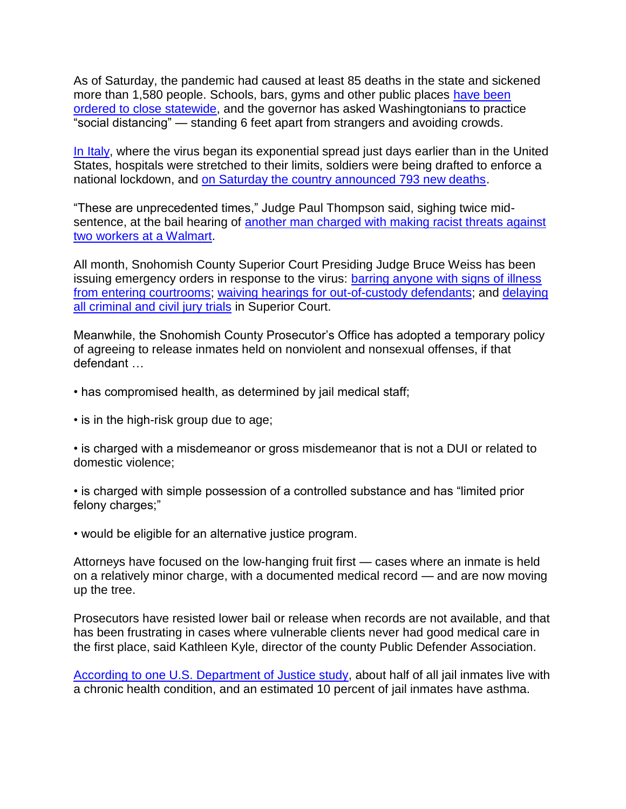As of Saturday, the pandemic had caused at least 85 deaths in the state and sickened more than 1,580 people. Schools, bars, gyms and other public places have been [ordered to close statewide,](https://www.google.com/search?rlz=1C5CHFA_enUS873US873&sxsrf=ALeKk02GolbdInVcq0UosK7kR5F6qN9lHw%3A1584745962955&ei=6k11XvXwOfm-0PEPwLa78AU&q=heraldnet+schools+gyms+inslee&oq=heraldnet+schools+gyms+inslee&gs_l=psy-ab.3..33i160l5j33i299l3.3347.3940..3995...0.0..0.121.686.6j2......0....1..gws-wiz.......35i39.TgtbHH3F0DU&ved=0ahUKEwj1jbnhlqroAhV5HzQIHUDbDl4Q4dUDCAs&uact=5) and the governor has asked Washingtonians to practice "social distancing" — standing 6 feet apart from strangers and avoiding crowds.

[In Italy,](https://www.cnn.com/2020/03/20/europe/italy-military-coronavirus-intl/index.html) where the virus began its exponential spread just days earlier than in the United States, hospitals were stretched to their limits, soldiers were being drafted to enforce a national lockdown, and [on Saturday the country announced 793 new deaths.](https://www.independent.co.uk/news/world/europe/coronavirus-italy-deaths-cases-latest-updates-pandemic-lombardy-a9416271.html)

"These are unprecedented times," Judge Paul Thompson said, sighing twice midsentence, at the bail hearing of [another man charged with making racist threats against](https://www.heraldnet.com/news/black-walmart-workers-harassed-by-man-with-knife-in-lynnwood/)  [two workers at a Walmart.](https://www.heraldnet.com/news/black-walmart-workers-harassed-by-man-with-knife-in-lynnwood/)

All month, Snohomish County Superior Court Presiding Judge Bruce Weiss has been issuing emergency orders in response to the virus: barring anyone with signs of illness [from entering courtrooms;](https://www.snohomishcountywa.gov/DocumentCenter/View/72089/38-20-Snohomish-County-Superior-Court-Emergency-Order) [waiving hearings for out-of-custody defendants;](https://snohomishcountywa.gov/DocumentCenter/View/72318/Court-Operations-03) and [delaying](https://snohomishcountywa.gov/DocumentCenter/View/72158/Court-Operations-01)  [all criminal and civil jury trials](https://snohomishcountywa.gov/DocumentCenter/View/72158/Court-Operations-01) in Superior Court.

Meanwhile, the Snohomish County Prosecutor's Office has adopted a temporary policy of agreeing to release inmates held on nonviolent and nonsexual offenses, if that defendant …

- has compromised health, as determined by jail medical staff;
- is in the high-risk group due to age;

• is charged with a misdemeanor or gross misdemeanor that is not a DUI or related to domestic violence;

• is charged with simple possession of a controlled substance and has "limited prior felony charges;"

• would be eligible for an alternative justice program.

Attorneys have focused on the low-hanging fruit first — cases where an inmate is held on a relatively minor charge, with a documented medical record — and are now moving up the tree.

Prosecutors have resisted lower bail or release when records are not available, and that has been frustrating in cases where vulnerable clients never had good medical care in the first place, said Kathleen Kyle, director of the county Public Defender Association.

[According to one U.S. Department of Justice study,](https://www.bjs.gov/content/pub/pdf/mpsfpji1112.pdf) about half of all jail inmates live with a chronic health condition, and an estimated 10 percent of jail inmates have asthma.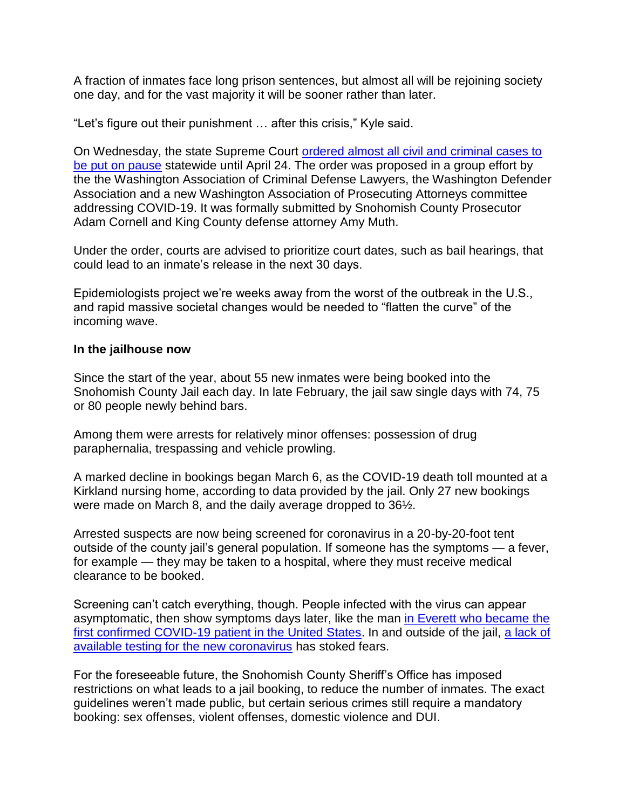A fraction of inmates face long prison sentences, but almost all will be rejoining society one day, and for the vast majority it will be sooner rather than later.

"Let's figure out their punishment … after this crisis," Kyle said.

On Wednesday, the state Supreme Court [ordered almost all civil and criminal cases to](https://www.heraldnet.com/news/state-supreme-court-pauses-almost-all-cases-in-washington/)  [be put on pause](https://www.heraldnet.com/news/state-supreme-court-pauses-almost-all-cases-in-washington/) statewide until April 24. The order was proposed in a group effort by the the Washington Association of Criminal Defense Lawyers, the Washington Defender Association and a new Washington Association of Prosecuting Attorneys committee addressing COVID-19. It was formally submitted by Snohomish County Prosecutor Adam Cornell and King County defense attorney Amy Muth.

Under the order, courts are advised to prioritize court dates, such as bail hearings, that could lead to an inmate's release in the next 30 days.

Epidemiologists project we're weeks away from the worst of the outbreak in the U.S., and rapid massive societal changes would be needed to "flatten the curve" of the incoming wave.

## **In the jailhouse now**

Since the start of the year, about 55 new inmates were being booked into the Snohomish County Jail each day. In late February, the jail saw single days with 74, 75 or 80 people newly behind bars.

Among them were arrests for relatively minor offenses: possession of drug paraphernalia, trespassing and vehicle prowling.

A marked decline in bookings began March 6, as the COVID-19 death toll mounted at a Kirkland nursing home, according to data provided by the jail. Only 27 new bookings were made on March 8, and the daily average dropped to 36½.

Arrested suspects are now being screened for coronavirus in a 20-by-20-foot tent outside of the county jail's general population. If someone has the symptoms — a fever, for example — they may be taken to a hospital, where they must receive medical clearance to be booked.

Screening can't catch everything, though. People infected with the virus can appear asymptomatic, then show symptoms days later, like the man [in Everett who became the](https://www.heraldnet.com/news/snohomish-county-man-is-first-us-case-of-new-coronavirus/)  [first confirmed COVID-19 patient in the United States.](https://www.heraldnet.com/news/snohomish-county-man-is-first-us-case-of-new-coronavirus/) In and outside of the jail, [a lack of](https://www.heraldnet.com/news/confusion-frustration-as-people-at-risk-seek-covid-19-tests/)  [available testing for the new coronavirus](https://www.heraldnet.com/news/confusion-frustration-as-people-at-risk-seek-covid-19-tests/) has stoked fears.

For the foreseeable future, the Snohomish County Sheriff's Office has imposed restrictions on what leads to a jail booking, to reduce the number of inmates. The exact guidelines weren't made public, but certain serious crimes still require a mandatory booking: sex offenses, violent offenses, domestic violence and DUI.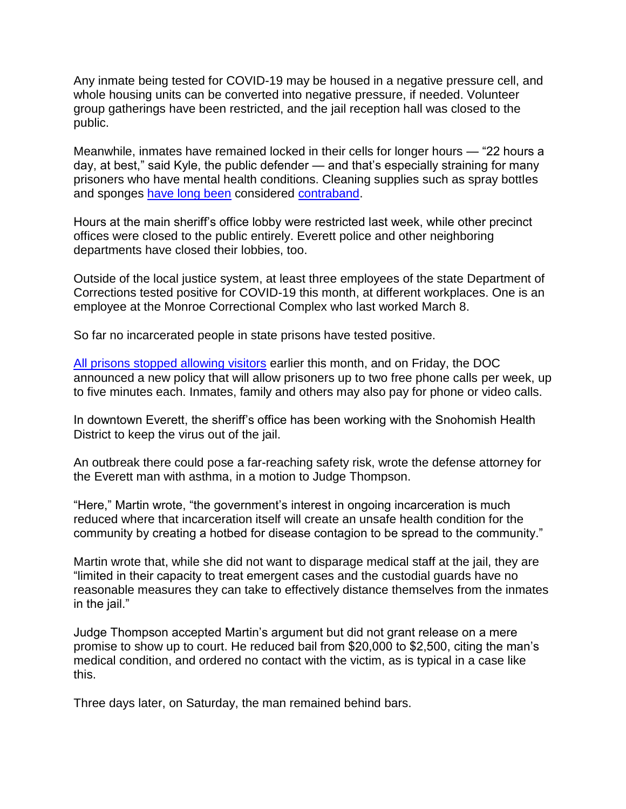Any inmate being tested for COVID-19 may be housed in a negative pressure cell, and whole housing units can be converted into negative pressure, if needed. Volunteer group gatherings have been restricted, and the jail reception hall was closed to the public.

Meanwhile, inmates have remained locked in their cells for longer hours — "22 hours a day, at best," said Kyle, the public defender — and that's especially straining for many prisoners who have mental health conditions. Cleaning supplies such as spray bottles and sponges [have long been](https://snohomishcountywa.gov/DocumentCenter/View/20514/2010-Inmate-Handbook) considered [contraband.](https://snohomishcountywa.gov/DocumentCenter/View/65367/2018-Inmate-Handbook)

Hours at the main sheriff's office lobby were restricted last week, while other precinct offices were closed to the public entirely. Everett police and other neighboring departments have closed their lobbies, too.

Outside of the local justice system, at least three employees of the state Department of Corrections tested positive for COVID-19 this month, at different workplaces. One is an employee at the Monroe Correctional Complex who last worked March 8.

So far no incarcerated people in state prisons have tested positive.

[All prisons stopped allowing visitors](https://doc.wa.gov/news/2020/03122020p.htm) earlier this month, and on Friday, the DOC announced a new policy that will allow prisoners up to two free phone calls per week, up to five minutes each. Inmates, family and others may also pay for phone or video calls.

In downtown Everett, the sheriff's office has been working with the Snohomish Health District to keep the virus out of the jail.

An outbreak there could pose a far-reaching safety risk, wrote the defense attorney for the Everett man with asthma, in a motion to Judge Thompson.

"Here," Martin wrote, "the government's interest in ongoing incarceration is much reduced where that incarceration itself will create an unsafe health condition for the community by creating a hotbed for disease contagion to be spread to the community."

Martin wrote that, while she did not want to disparage medical staff at the jail, they are "limited in their capacity to treat emergent cases and the custodial guards have no reasonable measures they can take to effectively distance themselves from the inmates in the jail."

Judge Thompson accepted Martin's argument but did not grant release on a mere promise to show up to court. He reduced bail from \$20,000 to \$2,500, citing the man's medical condition, and ordered no contact with the victim, as is typical in a case like this.

Three days later, on Saturday, the man remained behind bars.